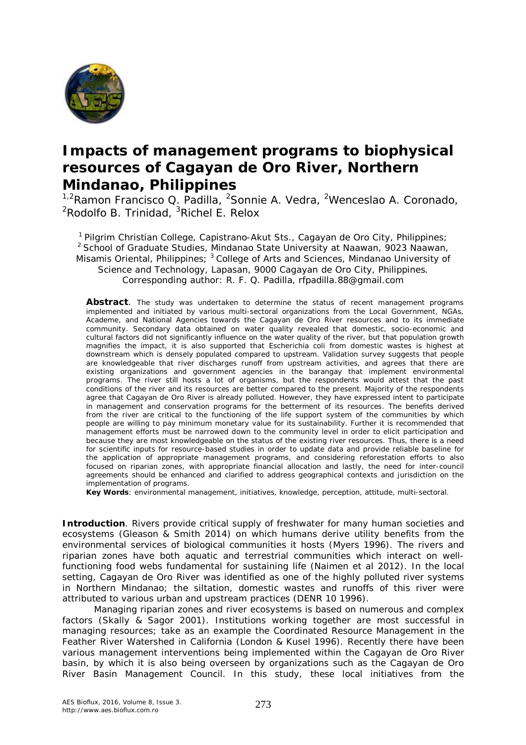

## **Impacts of management programs to biophysical resources of Cagayan de Oro River, Northern Mindanao, Philippines**

<sup>1,2</sup>Ramon Francisco Q. Padilla, <sup>2</sup>Sonnie A. Vedra, <sup>2</sup>Wenceslao A. Coronado,  ${}^{2}$ Rodolfo B. Trinidad,  ${}^{3}$ Richel E. Relox

<sup>1</sup> Pilgrim Christian College, Capistrano-Akut Sts., Cagayan de Oro City, Philippines; <sup>2</sup> School of Graduate Studies, Mindanao State University at Naawan, 9023 Naawan, Misamis Oriental, Philippines; <sup>3</sup> College of Arts and Sciences, Mindanao University of Science and Technology, Lapasan, 9000 Cagayan de Oro City, Philippines. Corresponding author: R. F. Q. Padilla, rfpadilla.88@gmail.com

Abstract. The study was undertaken to determine the status of recent management programs implemented and initiated by various multi-sectoral organizations from the Local Government, NGAs, Academe, and National Agencies towards the Cagayan de Oro River resources and to its immediate community. Secondary data obtained on water quality revealed that domestic, socio-economic and cultural factors did not significantly influence on the water quality of the river, but that population growth magnifies the impact, it is also supported that *Escherichia coli* from domestic wastes is highest at downstream which is densely populated compared to upstream. Validation survey suggests that people are knowledgeable that river discharges runoff from upstream activities, and agrees that there are existing organizations and government agencies in the barangay that implement environmental programs. The river still hosts a lot of organisms, but the respondents would attest that the past conditions of the river and its resources are better compared to the present. Majority of the respondents agree that Cagayan de Oro River is already polluted. However, they have expressed intent to participate in management and conservation programs for the betterment of its resources. The benefits derived from the river are critical to the functioning of the life support system of the communities by which people are willing to pay minimum monetary value for its sustainability. Further it is recommended that management efforts must be narrowed down to the community level in order to elicit participation and because they are most knowledgeable on the status of the existing river resources. Thus, there is a need for scientific inputs for resource-based studies in order to update data and provide reliable baseline for the application of appropriate management programs, and considering reforestation efforts to also focused on riparian zones, with appropriate financial allocation and lastly, the need for inter-council agreements should be enhanced and clarified to address geographical contexts and jurisdiction on the implementation of programs.

**Key Words**: environmental management, initiatives, knowledge, perception, attitude, multi-sectoral.

**Introduction**. Rivers provide critical supply of freshwater for many human societies and ecosystems (Gleason & Smith 2014) on which humans derive utility benefits from the environmental services of biological communities it hosts (Myers 1996). The rivers and riparian zones have both aquatic and terrestrial communities which interact on wellfunctioning food webs fundamental for sustaining life (Naimen et al 2012). In the local setting, Cagayan de Oro River was identified as one of the highly polluted river systems in Northern Mindanao; the siltation, domestic wastes and runoffs of this river were attributed to various urban and upstream practices (DENR 10 1996).

Managing riparian zones and river ecosystems is based on numerous and complex factors (Skally & Sagor 2001). Institutions working together are most successful in managing resources; take as an example the Coordinated Resource Management in the Feather River Watershed in California (London & Kusel 1996). Recently there have been various management interventions being implemented within the Cagayan de Oro River basin, by which it is also being overseen by organizations such as the Cagayan de Oro River Basin Management Council. In this study, these local initiatives from the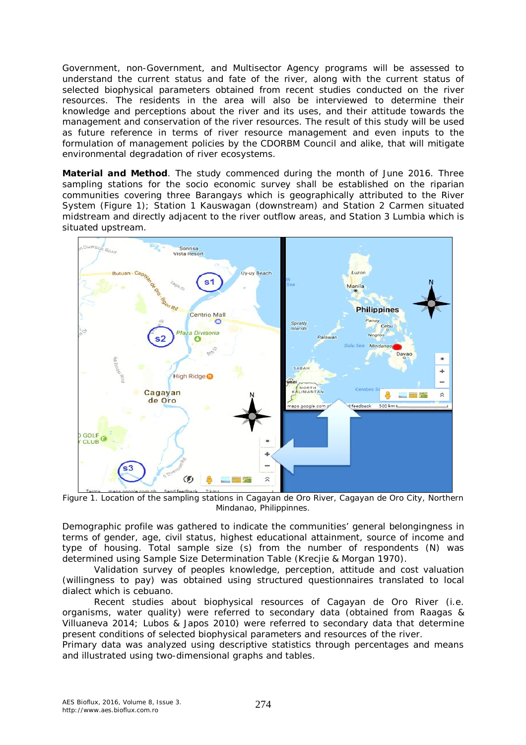Government, non-Government, and Multisector Agency programs will be assessed to understand the current status and fate of the river, along with the current status of selected biophysical parameters obtained from recent studies conducted on the river resources. The residents in the area will also be interviewed to determine their knowledge and perceptions about the river and its uses, and their attitude towards the management and conservation of the river resources. The result of this study will be used as future reference in terms of river resource management and even inputs to the formulation of management policies by the CDORBM Council and alike, that will mitigate environmental degradation of river ecosystems.

**Material and Method**. The study commenced during the month of June 2016. Three sampling stations for the socio economic survey shall be established on the riparian communities covering three Barangays which is geographically attributed to the River System (Figure 1); Station 1 Kauswagan (downstream) and Station 2 Carmen situated midstream and directly adjacent to the river outflow areas, and Station 3 Lumbia which is situated upstream.



Figure 1. Location of the sampling stations in Cagayan de Oro River, Cagayan de Oro City, Northern Mindanao, Philippinnes.

Demographic profile was gathered to indicate the communities' general belongingness in terms of gender, age, civil status, highest educational attainment, source of income and type of housing. Total sample size (s) from the number of respondents (N) was determined using Sample Size Determination Table (Krecjie & Morgan 1970).

Validation survey of peoples knowledge, perception, attitude and cost valuation (willingness to pay) was obtained using structured questionnaires translated to local dialect which is cebuano.

Recent studies about biophysical resources of Cagayan de Oro River (i.e. organisms, water quality) were referred to secondary data (obtained from Raagas & Villuaneva 2014; Lubos & Japos 2010) were referred to secondary data that determine present conditions of selected biophysical parameters and resources of the river.

Primary data was analyzed using descriptive statistics through percentages and means and illustrated using two-dimensional graphs and tables.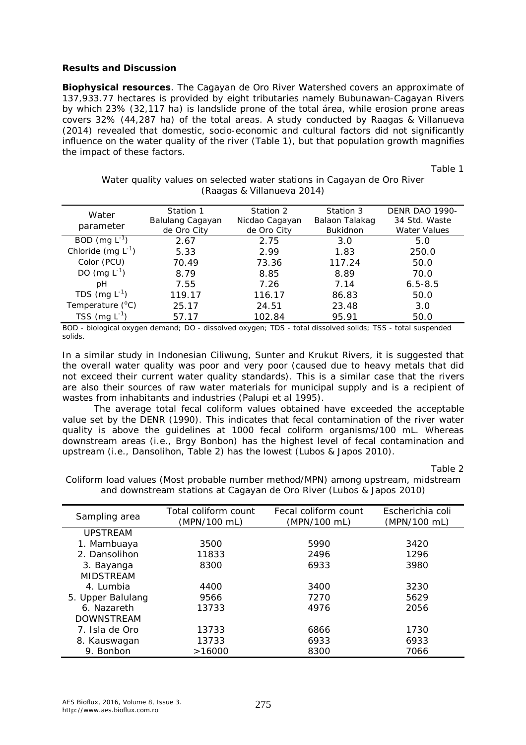## **Results and Discussion**

*Biophysical resources.* The Cagayan de Oro River Watershed covers an approximate of 137,933.77 hectares is provided by eight tributaries namely Bubunawan-Cagayan Rivers by which 23% (32,117 ha) is landslide prone of the total área, while erosion prone areas covers 32% (44,287 ha) of the total areas. A study conducted by Raagas & Villanueva (2014) revealed that domestic, socio-economic and cultural factors did not significantly influence on the water quality of the river (Table 1), but that population growth magnifies the impact of these factors.

Table 1

|  |                            |  | Water quality values on selected water stations in Cagayan de Oro River |  |
|--|----------------------------|--|-------------------------------------------------------------------------|--|
|  | (Raagas & Villanueva 2014) |  |                                                                         |  |

| Water<br>parameter        | Station 1<br>Balulang Cagayan<br>de Oro City | Station 2<br>Nicdao Cagayan<br>de Oro City | Station 3<br>Balaon Talakag<br><b>Bukidnon</b> | <b>DENR DAO 1990-</b><br>34 Std. Waste<br><b>Water Values</b> |
|---------------------------|----------------------------------------------|--------------------------------------------|------------------------------------------------|---------------------------------------------------------------|
| BOD (mg $L^{-1}$ )        | 2.67                                         | 2.75                                       | 3.0                                            | 5.0                                                           |
| Chloride (mg $L^{-1}$ )   | 5.33                                         | 2.99                                       | 1.83                                           | 250.0                                                         |
| Color (PCU)               | 70.49                                        | 73.36                                      | 117.24                                         | 50.0                                                          |
| DO (mg $L^{-1}$ )         | 8.79                                         | 8.85                                       | 8.89                                           | 70.0                                                          |
| рH                        | 7.55                                         | 7.26                                       | 7.14                                           | $6.5 - 8.5$                                                   |
| TDS (mg $L^{-1}$ )        | 119.17                                       | 116.17                                     | 86.83                                          | 50.0                                                          |
| Temperature $(^{\circ}C)$ | 25.17                                        | 24.51                                      | 23.48                                          | 3.0                                                           |
| TSS (mg $L^{-1}$ )        | 57.17                                        | 102.84                                     | 95.91                                          | 50.0                                                          |

BOD - biological oxygen demand; DO - dissolved oxygen; TDS - total dissolved solids; TSS - total suspended solids.

In a similar study in Indonesian Ciliwung, Sunter and Krukut Rivers, it is suggested that the overall water quality was poor and very poor (caused due to heavy metals that did not exceed their current water quality standards). This is a similar case that the rivers are also their sources of raw water materials for municipal supply and is a recipient of wastes from inhabitants and industries (Palupi et al 1995).

The average total fecal coliform values obtained have exceeded the acceptable value set by the DENR (1990). This indicates that fecal contamination of the river water quality is above the guidelines at 1000 fecal coliform organisms/100 mL. Whereas downstream areas (i.e., Brgy Bonbon) has the highest level of fecal contamination and upstream (i.e., Dansolihon, Table 2) has the lowest (Lubos & Japos 2010).

Table 2

| Sampling area     | Total coliform count | Fecal coliform count | Escherichia coli |
|-------------------|----------------------|----------------------|------------------|
|                   | (MPN/100 mL)         | (MPN/100 mL)         | (MPN/100 mL)     |
| <b>UPSTREAM</b>   |                      |                      |                  |
| 1. Mambuaya       | 3500                 | 5990                 | 3420             |
| 2. Dansolihon     | 11833                | 2496                 | 1296             |
| 3. Bayanga        | 8300                 | 6933                 | 3980             |
| <b>MIDSTREAM</b>  |                      |                      |                  |
| 4. Lumbia         | 4400                 | 3400                 | 3230             |
| 5. Upper Balulang | 9566                 | 7270                 | 5629             |
| 6. Nazareth       | 13733                | 4976                 | 2056             |
| <b>DOWNSTREAM</b> |                      |                      |                  |
| 7. Isla de Oro    | 13733                | 6866                 | 1730             |
| 8. Kauswagan      | 13733                | 6933                 | 6933             |
| 9. Bonbon         | >16000               | 8300                 | 7066             |

Coliform load values (Most probable number method/MPN) among upstream, midstream and downstream stations at Cagayan de Oro River (Lubos & Japos 2010)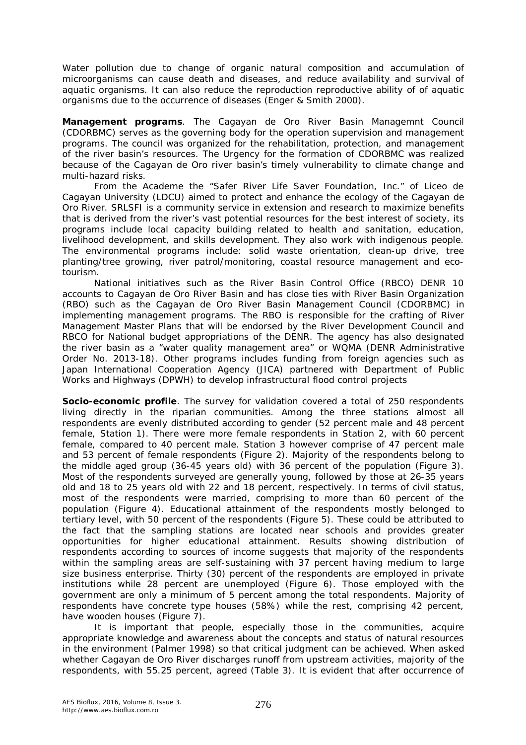Water pollution due to change of organic natural composition and accumulation of microorganisms can cause death and diseases, and reduce availability and survival of aquatic organisms. It can also reduce the reproduction reproductive ability of of aquatic organisms due to the occurrence of diseases (Enger & Smith 2000).

*Management programs.* The Cagayan de Oro River Basin Managemnt Council (CDORBMC) serves as the governing body for the operation supervision and management programs. The council was organized for the rehabilitation, protection, and management of the river basin's resources. The Urgency for the formation of CDORBMC was realized because of the Cagayan de Oro river basin's timely vulnerability to climate change and multi-hazard risks.

From the Academe the "Safer River Life Saver Foundation, Inc." of Liceo de Cagayan University (LDCU) aimed to protect and enhance the ecology of the Cagayan de Oro River. SRLSFI is a community service in extension and research to maximize benefits that is derived from the river's vast potential resources for the best interest of society, its programs include local capacity building related to health and sanitation, education, livelihood development, and skills development. They also work with indigenous people. The environmental programs include: solid waste orientation, clean-up drive, tree planting/tree growing, river patrol/monitoring, coastal resource management and ecotourism.

National initiatives such as the River Basin Control Office (RBCO) DENR 10 accounts to Cagayan de Oro River Basin and has close ties with River Basin Organization (RBO) such as the Cagayan de Oro River Basin Management Council (CDORBMC) in implementing management programs. The RBO is responsible for the crafting of River Management Master Plans that will be endorsed by the River Development Council and RBCO for National budget appropriations of the DENR. The agency has also designated the river basin as a "water quality management area" or WQMA (DENR Administrative Order No. 2013-18). Other programs includes funding from foreign agencies such as Japan International Cooperation Agency (JICA) partnered with Department of Public Works and Highways (DPWH) to develop infrastructural flood control projects

**Socio-economic profile**. The survey for validation covered a total of 250 respondents living directly in the riparian communities. Among the three stations almost all respondents are evenly distributed according to gender (52 percent male and 48 percent female, Station 1). There were more female respondents in Station 2, with 60 percent female, compared to 40 percent male. Station 3 however comprise of 47 percent male and 53 percent of female respondents (Figure 2). Majority of the respondents belong to the middle aged group (36-45 years old) with 36 percent of the population (Figure 3). Most of the respondents surveyed are generally young, followed by those at 26-35 years old and 18 to 25 years old with 22 and 18 percent, respectively. In terms of civil status, most of the respondents were married, comprising to more than 60 percent of the population (Figure 4). Educational attainment of the respondents mostly belonged to tertiary level, with 50 percent of the respondents (Figure 5). These could be attributed to the fact that the sampling stations are located near schools and provides greater opportunities for higher educational attainment. Results showing distribution of respondents according to sources of income suggests that majority of the respondents within the sampling areas are self-sustaining with 37 percent having medium to large size business enterprise. Thirty (30) percent of the respondents are employed in private institutions while 28 percent are unemployed (Figure 6). Those employed with the government are only a minimum of 5 percent among the total respondents. Majority of respondents have concrete type houses (58%) while the rest, comprising 42 percent, have wooden houses (Figure 7).

It is important that people, especially those in the communities, acquire appropriate knowledge and awareness about the concepts and status of natural resources in the environment (Palmer 1998) so that critical judgment can be achieved. When asked whether Cagayan de Oro River discharges runoff from upstream activities, majority of the respondents, with 55.25 percent, agreed (Table 3). It is evident that after occurrence of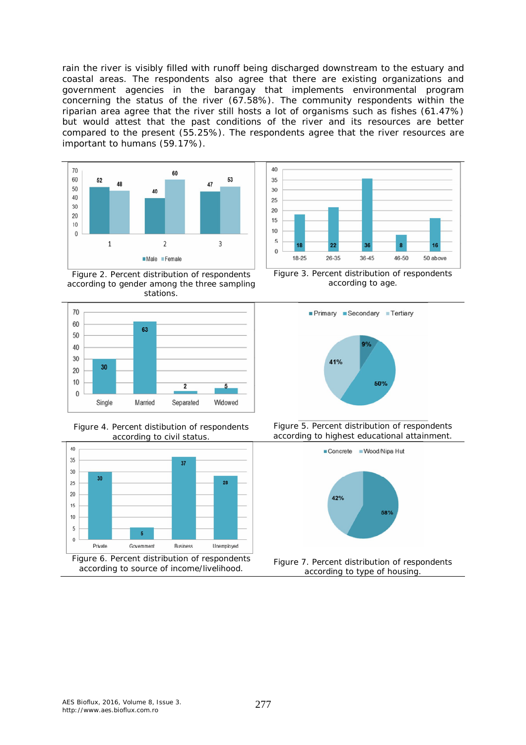rain the river is visibly filled with runoff being discharged downstream to the estuary and coastal areas. The respondents also agree that there are existing organizations and government agencies in the barangay that implements environmental program concerning the status of the river (67.58%). The community respondents within the riparian area agree that the river still hosts a lot of organisms such as fishes (61.47%) but would attest that the past conditions of the river and its resources are better compared to the present (55.25%). The respondents agree that the river resources are important to humans (59.17%).



Figure 2. Percent distribution of respondents according to gender among the three sampling stations.



Figure 4. Percent distibution of respondents according to civil status.





Figure 3. Percent distribution of respondents according to age.







Figure 7. Percent distribution of respondents according to type of housing.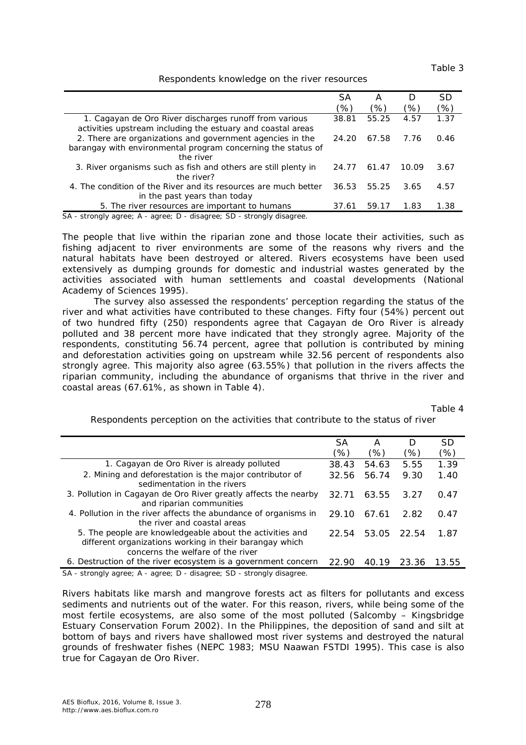Table 3

## Respondents knowledge on the river resources

|                                                                                                                                        | SА    | А     |       | SD   |
|----------------------------------------------------------------------------------------------------------------------------------------|-------|-------|-------|------|
|                                                                                                                                        | 96)   | (%)   | (%)   | (%)  |
| 1. Cagayan de Oro River discharges runoff from various<br>activities upstream including the estuary and coastal areas                  | 38.81 | 55.25 | 4.57  | 1.37 |
| 2. There are organizations and government agencies in the<br>barangay with environmental program concerning the status of<br>the river | 24.20 | 67.58 | 7.76  | 0.46 |
| 3. River organisms such as fish and others are still plenty in<br>the river?                                                           | 24.77 | 61.47 | 10.09 | 3.67 |
| 4. The condition of the River and its resources are much better<br>in the past years than today                                        | 36.53 | 55.25 | 3.65  | 4.57 |
| 5. The river resources are important to humans                                                                                         | 37.61 | 59.17 | 1.83  | 1.38 |

SA - strongly agree; A - agree; D - disagree; SD - strongly disagree.

The people that live within the riparian zone and those locate their activities, such as fishing adjacent to river environments are some of the reasons why rivers and the natural habitats have been destroyed or altered. Rivers ecosystems have been used extensively as dumping grounds for domestic and industrial wastes generated by the activities associated with human settlements and coastal developments (National Academy of Sciences 1995).

The survey also assessed the respondents' perception regarding the status of the river and what activities have contributed to these changes. Fifty four (54%) percent out of two hundred fifty (250) respondents agree that Cagayan de Oro River is already polluted and 38 percent more have indicated that they strongly agree. Majority of the respondents, constituting 56.74 percent, agree that pollution is contributed by mining and deforestation activities going on upstream while 32.56 percent of respondents also strongly agree. This majority also agree (63.55%) that pollution in the rivers affects the riparian community, including the abundance of organisms that thrive in the river and coastal areas (67.61%, as shown in Table 4).

Table 4

Respondents perception on the activities that contribute to the status of river

|                                                                                                                                                          | SА    | А     | $\left( \right)$ | <i>SD</i> |
|----------------------------------------------------------------------------------------------------------------------------------------------------------|-------|-------|------------------|-----------|
|                                                                                                                                                          | (%    | ′%)   | 96)              | '%)       |
| 1. Cagayan de Oro River is already polluted                                                                                                              | 38.43 | 54.63 | 5.55             | 1.39      |
| 2. Mining and deforestation is the major contributor of<br>sedimentation in the rivers                                                                   | 32.56 | 56.74 | 9.30             | 1.40      |
| 3. Pollution in Cagayan de Oro River greatly affects the nearby<br>and riparian communities                                                              | 32.71 | 63.55 | 3.27             | 0.47      |
| 4. Pollution in the river affects the abundance of organisms in<br>the river and coastal areas                                                           | 29.10 | 67.61 | 2.82             | 0.47      |
| 5. The people are knowledgeable about the activities and<br>different organizations working in their barangay which<br>concerns the welfare of the river | 22.54 | 53.05 | 22.54            | 1.87      |
| 6. Destruction of the river ecosystem is a government concern                                                                                            | 22.90 | 40.19 | 23.36            | 13.55     |
| $\mathcal{C}$ atrapaly careey $\Lambda$ careey $\mathcal{D}$ disearce, $\mathcal{C}$ atrapaly disearce                                                   |       |       |                  |           |

SA - strongly agree; A - agree; D - disagree; SD - strongly disagree.

Rivers habitats like marsh and mangrove forests act as filters for pollutants and excess sediments and nutrients out of the water. For this reason, rivers, while being some of the most fertile ecosystems, are also some of the most polluted (Salcomby – Kingsbridge Estuary Conservation Forum 2002). In the Philippines, the deposition of sand and silt at bottom of bays and rivers have shallowed most river systems and destroyed the natural grounds of freshwater fishes (NEPC 1983; MSU Naawan FSTDI 1995). This case is also true for Cagayan de Oro River.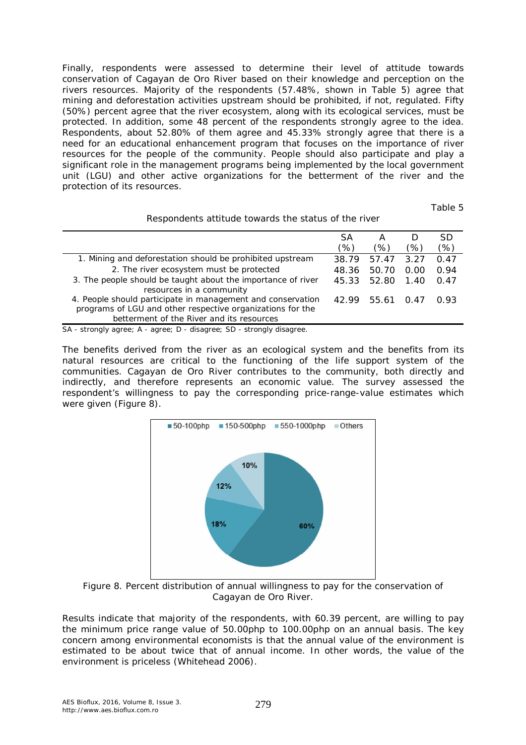Finally, respondents were assessed to determine their level of attitude towards conservation of Cagayan de Oro River based on their knowledge and perception on the rivers resources. Majority of the respondents (57.48%, shown in Table 5) agree that mining and deforestation activities upstream should be prohibited, if not, regulated. Fifty (50%) percent agree that the river ecosystem, along with its ecological services, must be protected. In addition, some 48 percent of the respondents strongly agree to the idea. Respondents, about 52.80% of them agree and 45.33% strongly agree that there is a need for an educational enhancement program that focuses on the importance of river resources for the people of the community. People should also participate and play a significant role in the management programs being implemented by the local government unit (LGU) and other active organizations for the betterment of the river and the protection of its resources.

Table 5

|                                                                       | SА    | А     |      | <b>SD</b> |
|-----------------------------------------------------------------------|-------|-------|------|-----------|
|                                                                       | (%)   | (%    | (%)  | '%)       |
| 1. Mining and deforestation should be prohibited upstream             | 38.79 | 57.47 | 3.27 | 0.47      |
| 2. The river ecosystem must be protected                              | 48.36 | 50.70 | 0.00 | 0.94      |
| 3. The people should be taught about the importance of river          | 45.33 | 52.80 | 1.40 | 0.47      |
| resources in a community                                              |       |       |      |           |
| 4. People should participate in management and conservation           | 42.99 | 55.61 | 0.47 | 0.93      |
| programs of LGU and other respective organizations for the            |       |       |      |           |
| betterment of the River and its resources                             |       |       |      |           |
| SA - strongly agree; A - agree; D - disagree; SD - strongly disagree. |       |       |      |           |

Respondents attitude towards the status of the river

The benefits derived from the river as an ecological system and the benefits from its natural resources are critical to the functioning of the life support system of the communities. Cagayan de Oro River contributes to the community, both directly and indirectly, and therefore represents an economic value. The survey assessed the respondent's willingness to pay the corresponding price-range-value estimates which were given (Figure 8).



Figure 8. Percent distribution of annual willingness to pay for the conservation of Cagayan de Oro River.

Results indicate that majority of the respondents, with 60.39 percent, are willing to pay the minimum price range value of 50.00php to 100.00php on an annual basis. The key concern among environmental economists is that the annual value of the environment is estimated to be about twice that of annual income. In other words, the value of the environment is priceless (Whitehead 2006).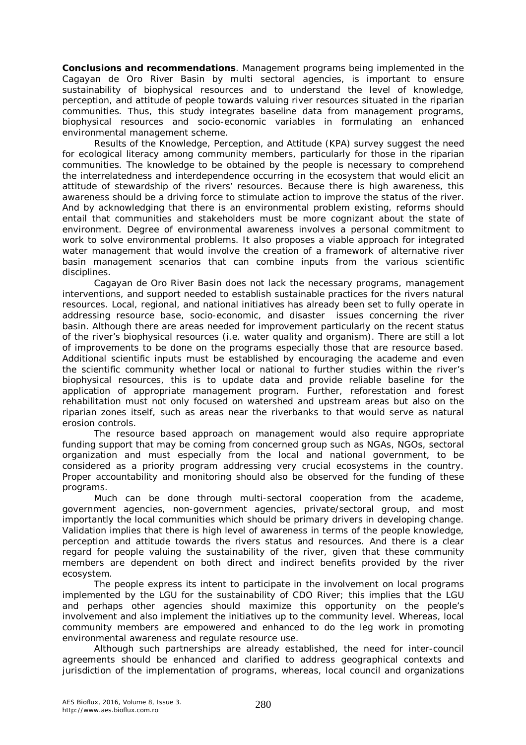**Conclusions and recommendations**. Management programs being implemented in the Cagayan de Oro River Basin by multi sectoral agencies, is important to ensure sustainability of biophysical resources and to understand the level of knowledge, perception, and attitude of people towards valuing river resources situated in the riparian communities. Thus, this study integrates baseline data from management programs, biophysical resources and socio-economic variables in formulating an enhanced environmental management scheme.

Results of the Knowledge, Perception, and Attitude (KPA) survey suggest the need for ecological literacy among community members, particularly for those in the riparian communities. The knowledge to be obtained by the people is necessary to comprehend the interrelatedness and interdependence occurring in the ecosystem that would elicit an attitude of stewardship of the rivers' resources. Because there is high awareness, this awareness should be a driving force to stimulate action to improve the status of the river. And by acknowledging that there is an environmental problem existing, reforms should entail that communities and stakeholders must be more cognizant about the state of environment. Degree of environmental awareness involves a personal commitment to work to solve environmental problems. It also proposes a viable approach for integrated water management that would involve the creation of a framework of alternative river basin management scenarios that can combine inputs from the various scientific disciplines.

Cagayan de Oro River Basin does not lack the necessary programs, management interventions, and support needed to establish sustainable practices for the rivers natural resources. Local, regional, and national initiatives has already been set to fully operate in addressing resource base, socio-economic, and disaster issues concerning the river basin. Although there are areas needed for improvement particularly on the recent status of the river's biophysical resources (i.e. water quality and organism). There are still a lot of improvements to be done on the programs especially those that are resource based. Additional scientific inputs must be established by encouraging the academe and even the scientific community whether local or national to further studies within the river's biophysical resources, this is to update data and provide reliable baseline for the application of appropriate management program. Further, reforestation and forest rehabilitation must not only focused on watershed and upstream areas but also on the riparian zones itself, such as areas near the riverbanks to that would serve as natural erosion controls.

The resource based approach on management would also require appropriate funding support that may be coming from concerned group such as NGAs, NGOs, sectoral organization and must especially from the local and national government, to be considered as a priority program addressing very crucial ecosystems in the country. Proper accountability and monitoring should also be observed for the funding of these programs.

Much can be done through multi-sectoral cooperation from the academe, government agencies, non-government agencies, private/sectoral group, and most importantly the local communities which should be primary drivers in developing change. Validation implies that there is high level of awareness in terms of the people knowledge, perception and attitude towards the rivers status and resources. And there is a clear regard for people valuing the sustainability of the river, given that these community members are dependent on both direct and indirect benefits provided by the river ecosystem.

The people express its intent to participate in the involvement on local programs implemented by the LGU for the sustainability of CDO River; this implies that the LGU and perhaps other agencies should maximize this opportunity on the people's involvement and also implement the initiatives up to the community level. Whereas, local community members are empowered and enhanced to do the leg work in promoting environmental awareness and regulate resource use.

Although such partnerships are already established, the need for inter-council agreements should be enhanced and clarified to address geographical contexts and jurisdiction of the implementation of programs, whereas, local council and organizations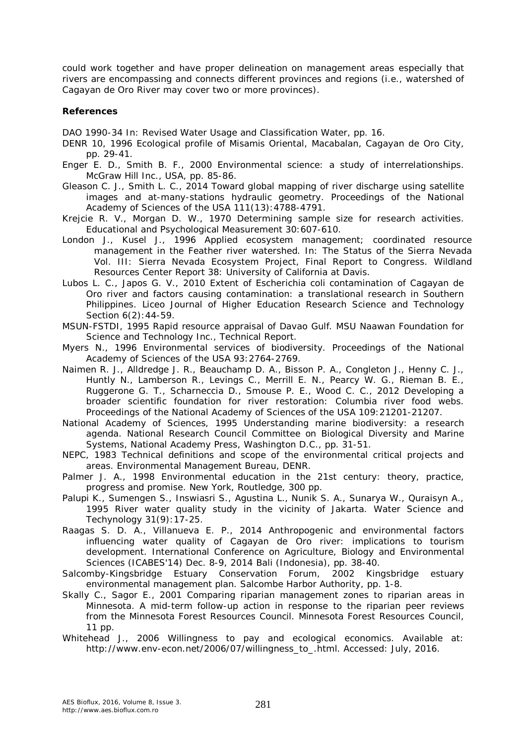could work together and have proper delineation on management areas especially that rivers are encompassing and connects different provinces and regions (i.e., watershed of Cagayan de Oro River may cover two or more provinces).

## **References**

DAO 1990-34 In: Revised Water Usage and Classification Water, pp. 16.

- DENR 10, 1996 Ecological profile of Misamis Oriental, Macabalan, Cagayan de Oro City, pp. 29-41.
- Enger E. D., Smith B. F., 2000 Environmental science: a study of interrelationships. McGraw Hill Inc., USA, pp. 85-86.
- Gleason C. J., Smith L. C., 2014 Toward global mapping of river discharge using satellite images and at-many-stations hydraulic geometry. Proceedings of the National Academy of Sciences of the USA 111(13):4788-4791.
- Krejcie R. V., Morgan D. W., 1970 Determining sample size for research activities. Educational and Psychological Measurement 30:607-610.
- London J., Kusel J., 1996 Applied ecosystem management; coordinated resource management in the Feather river watershed. In: The Status of the Sierra Nevada Vol. III: Sierra Nevada Ecosystem Project, Final Report to Congress. Wildland Resources Center Report 38: University of California at Davis.
- Lubos L. C., Japos G. V., 2010 Extent of *Escherichia coli* contamination of Cagayan de Oro river and factors causing contamination: a translational research in Southern Philippines. Liceo Journal of Higher Education Research Science and Technology Section 6(2):44-59.
- MSUN-FSTDI, 1995 Rapid resource appraisal of Davao Gulf. MSU Naawan Foundation for Science and Technology Inc., Technical Report.
- Myers N., 1996 Environmental services of biodiversity. Proceedings of the National Academy of Sciences of the USA 93:2764-2769.
- Naimen R. J., Alldredge J. R., Beauchamp D. A., Bisson P. A., Congleton J., Henny C. J., Huntly N., Lamberson R., Levings C., Merrill E. N., Pearcy W. G., Rieman B. E., Ruggerone G. T., Scharneccia D., Smouse P. E., Wood C. C., 2012 Developing a broader scientific foundation for river restoration: Columbia river food webs. Proceedings of the National Academy of Sciences of the USA 109:21201-21207.
- National Academy of Sciences, 1995 Understanding marine biodiversity: a research agenda. National Research Council Committee on Biological Diversity and Marine Systems, National Academy Press, Washington D.C., pp. 31-51.
- NEPC, 1983 Technical definitions and scope of the environmental critical projects and areas. Environmental Management Bureau, DENR.
- Palmer J. A., 1998 Environmental education in the 21st century: theory, practice, progress and promise. New York, Routledge, 300 pp.
- Palupi K., Sumengen S., Inswiasri S., Agustina L., Nunik S. A., Sunarya W., Quraisyn A., 1995 River water quality study in the vicinity of Jakarta. Water Science and Techynology 31(9):17-25.
- Raagas S. D. A., Villanueva E. P., 2014 Anthropogenic and environmental factors influencing water quality of Cagayan de Oro river: implications to tourism development. International Conference on Agriculture, Biology and Environmental Sciences (ICABES'14) Dec. 8-9, 2014 Bali (Indonesia), pp. 38-40.
- Salcomby-Kingsbridge Estuary Conservation Forum, 2002 Kingsbridge estuary environmental management plan. Salcombe Harbor Authority, pp. 1-8.
- Skally C., Sagor E., 2001 Comparing riparian management zones to riparian areas in Minnesota. A mid-term follow-up action in response to the riparian peer reviews from the Minnesota Forest Resources Council. Minnesota Forest Resources Council, 11 pp.
- Whitehead J., 2006 Willingness to pay and ecological economics. Available at: http://www.env-econ.net/2006/07/willingness\_to\_.html. Accessed: July, 2016.